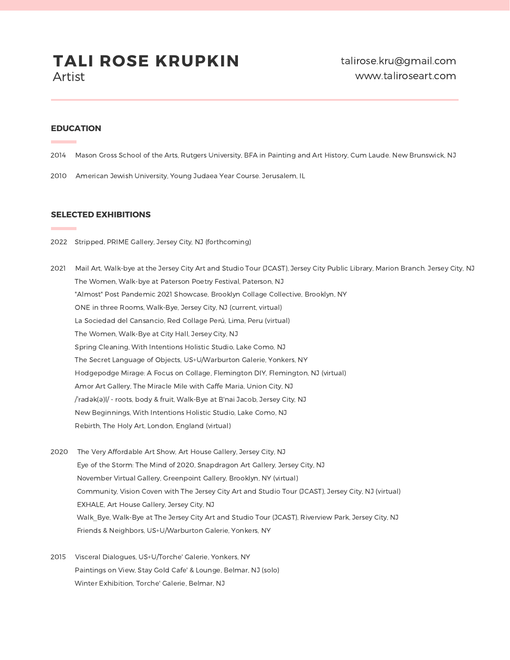#### **EDUCATION**

**Contract** 

- 2014 Mason Gross School of the Arts, Rutgers University, BFA in Painting and Art History, Cum Laude. New Brunswick, NJ
- 2010 American Jewish University, Young Judaea Year Course. Jerusalem, IL

#### **SELECTED EXHIBITIONS**

- 2022 Stripped, PRIME Gallery, Jersey City, NJ (forthcoming)
- 2021 Mail Art, Walk-bye at the Jersey City Art and Studio Tour (JCAST), Jersey City Public Library, Marion Branch. Jersey City, NJ The Women, Walk-bye at Paterson Poetry Festival, Paterson, NJ "Almost" Post Pandemic 2021 Showcase, Brooklyn Collage Collective, Brooklyn, NY ONE in three Rooms, Walk-Bye, Jersey City, NJ (current, virtual) La Sociedad del Cansancio, Red Collage Perú, Lima, Peru (virtual) The Women, Walk-Bye at City Hall, Jersey City, NJ Spring Cleaning, With Intentions Holistic Studio, Lake Como, NJ The Secret Language of Objects, US+U/Warburton Galerie, Yonkers, NY Hodgepodge Mirage: A Focus on Collage, Flemington DIY, Flemington, NJ (virtual) Amor Art Gallery, The Miracle Mile with Caffe Maria, Union City, NJ /ˈradək(ə)l/ - roots, body & fruit, Walk-Bye at B'nai Jacob, Jersey City, NJ New Beginnings, With Intentions Holistic Studio, Lake Como, NJ Rebirth, The Holy Art, London, England (virtual)
- 2020 The Very Affordable Art Show, Art House Gallery, Jersey City, NJ Eye of the Storm: The Mind of 2020, Snapdragon Art Gallery, Jersey City, NJ November Virtual Gallery, Greenpoint Gallery, Brooklyn, NY (virtual) Community, Vision Coven with The Jersey City Art and Studio Tour (JCAST), Jersey City, NJ (virtual) EXHALE, Art House Gallery, Jersey City, NJ Walk\_Bye, Walk-Bye at The Jersey City Art and Studio Tour (JCAST), Riverview Park, Jersey City, NJ Friends & Neighbors, US+U/Warburton Galerie, Yonkers, NY
- 2015 Visceral Dialogues, US+U/Torche' Galerie, Yonkers, NY Paintings on View, Stay Gold Cafe' & Lounge, Belmar, NJ (solo) Winter Exhibition, Torche' Galerie, Belmar, NJ